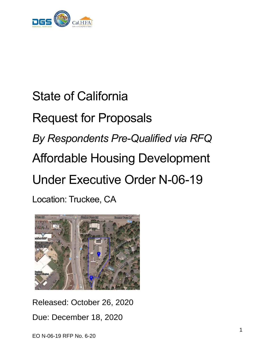

# State of California Request for Proposals *By Respondents Pre-Qualified via RFQ* Affordable Housing Development Under Executive Order N-06-19 Location: Truckee, CA



Released: October 26, 2020 Due: December 18, 2020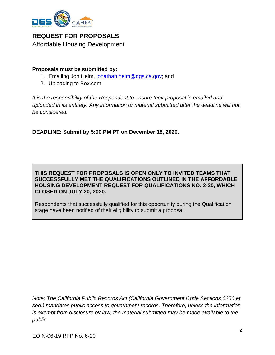

**REQUEST FOR PROPOSALS** Affordable Housing Development

#### **Proposals must be submitted by:**

- 1. Emailing Jon Heim, [jonathan.heim@dgs.ca.gov;](mailto:joshua.palmer@dgs.ca.gov) and
- 2. Uploading to Box.com.

*It is the responsibility of the Respondent to ensure their proposal is emailed and uploaded in its entirety. Any information or material submitted after the deadline will not be considered.*

**DEADLINE: Submit by 5:00 PM PT on December 18, 2020.**

**THIS REQUEST FOR PROPOSALS IS OPEN ONLY TO INVITED TEAMS THAT SUCCESSFULLY MET THE QUALIFICATIONS OUTLINED IN THE AFFORDABLE HOUSING DEVELOPMENT REQUEST FOR QUALIFICATIONS NO. 2-20, WHICH CLOSED ON JULY 20, 2020.**

Respondents that successfully qualified for this opportunity during the Qualification stage have been notified of their eligibility to submit a proposal.

*Note: The California Public Records Act (California Government Code Sections 6250 et seq.) mandates public access to government records. Therefore, unless the information is exempt from disclosure by law, the material submitted may be made available to the public.*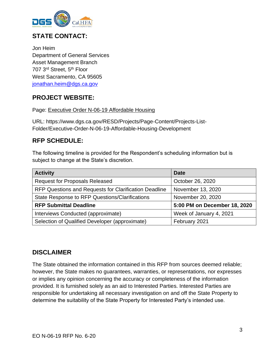

## **STATE CONTACT:**

Jon Heim Department of General Services Asset Management Branch 707 3<sup>rd</sup> Street, 5<sup>th</sup> Floor West Sacramento, CA 95605 [jonathan.heim@dgs.ca.gov](mailto:joshua.palmer@dgs.ca.gov)

#### **PROJECT WEBSITE:**

#### Page: [Executive Order N-06-19 Affordable Housing](https://www.dgs.ca.gov/RESD/Projects/Page-Content/Projects-List-Folder/Executive-Order-N-06-19-Affordable-Housing-Development)

URL: https://www.dgs.ca.gov/RESD/Projects/Page-Content/Projects-List-Folder/Executive-Order-N-06-19-Affordable-Housing-Development

#### **RFP SCHEDULE:**

The following timeline is provided for the Respondent's scheduling information but is subject to change at the State's discretion.

| <b>Activity</b>                                       | <b>Date</b>                  |  |
|-------------------------------------------------------|------------------------------|--|
| <b>Request for Proposals Released</b>                 | October 26, 2020             |  |
| RFP Questions and Requests for Clarification Deadline | November 13, 2020            |  |
| State Response to RFP Questions/Clarifications        | November 20, 2020            |  |
| <b>RFP Submittal Deadline</b>                         | 5:00 PM on December 18, 2020 |  |
| Interviews Conducted (approximate)                    | Week of January 4, 2021      |  |
| Selection of Qualified Developer (approximate)        | February 2021                |  |

#### **DISCLAIMER**

The State obtained the information contained in this RFP from sources deemed reliable; however, the State makes no guarantees, warranties, or representations, nor expresses or implies any opinion concerning the accuracy or completeness of the information provided. It is furnished solely as an aid to Interested Parties. Interested Parties are responsible for undertaking all necessary investigation on and off the State Property to determine the suitability of the State Property for Interested Party's intended use.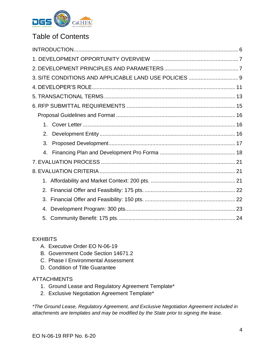

## Table of Contents

|    | 3. SITE CONDITIONS AND APPLICABLE LAND USE POLICIES  9 |  |
|----|--------------------------------------------------------|--|
|    |                                                        |  |
|    |                                                        |  |
|    |                                                        |  |
|    |                                                        |  |
| 1. |                                                        |  |
| 2. |                                                        |  |
| 3. |                                                        |  |
| 4. |                                                        |  |
|    |                                                        |  |
|    |                                                        |  |
|    |                                                        |  |
|    |                                                        |  |
| 3. |                                                        |  |
| 4. |                                                        |  |
|    |                                                        |  |

#### **EXHIBITS**

- A. Executive Order EO N-06-19
- B. Government Code Section 14671.2
- C. Phase I Environmental Assessment
- D. Condition of Title Guarantee

#### **ATTACHMENTS**

- 1. Ground Lease and Regulatory Agreement Template\*
- <span id="page-3-0"></span>2. Exclusive Negotiation Agreement Template\*

*\*The Ground Lease, Regulatory Agreement, and Exclusive Negotiation Agreement included in attachments are templates and may be modified by the State prior to signing the lease.*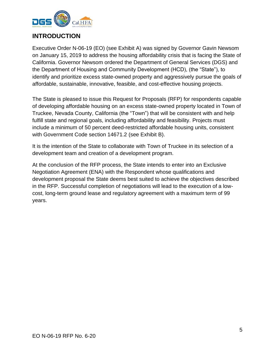

## **INTRODUCTION**

Executive Order N-06-19 (EO) (see Exhibit A) was signed by Governor Gavin Newsom on January 15, 2019 to address the housing affordability crisis that is facing the State of California. Governor Newsom ordered the Department of General Services (DGS) and the Department of Housing and Community Development (HCD), (the "State"), to identify and prioritize excess state-owned property and aggressively pursue the goals of affordable, sustainable, innovative, feasible, and cost-effective housing projects.

The State is pleased to issue this Request for Proposals (RFP) for respondents capable of developing affordable housing on an excess state-owned property located in Town of Truckee, Nevada County, California (the "Town") that will be consistent with and help fulfill state and regional goals, including affordability and feasibility. Projects must include a minimum of 50 percent deed-restricted affordable housing units, consistent with Government Code section 14671.2 (see Exhibit B).

It is the intention of the State to collaborate with Town of Truckee in its selection of a development team and creation of a development program.

At the conclusion of the RFP process, the State intends to enter into an Exclusive Negotiation Agreement (ENA) with the Respondent whose qualifications and development proposal the State deems best suited to achieve the objectives described in the RFP. Successful completion of negotiations will lead to the execution of a lowcost, long-term ground lease and regulatory agreement with a maximum term of 99 years.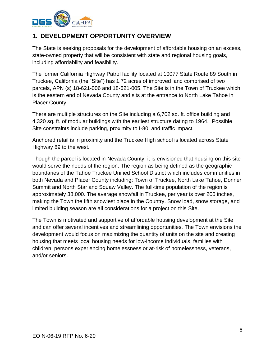

## <span id="page-5-0"></span>**1. DEVELOPMENT OPPORTUNITY OVERVIEW**

The State is seeking proposals for the development of affordable housing on an excess, state-owned property that will be consistent with state and regional housing goals, including affordability and feasibility.

The former California Highway Patrol facility located at 10077 State Route 89 South in Truckee, California (the "Site") has 1.72 acres of improved land comprised of two parcels, APN (s) 18-621-006 and 18-621-005. The Site is in the Town of Truckee which is the eastern end of Nevada County and sits at the entrance to North Lake Tahoe in Placer County.

There are multiple structures on the Site including a 6,702 sq. ft. office building and 4,320 sq. ft. of modular buildings with the earliest structure dating to 1964. Possible Site constraints include parking, proximity to I-80, and traffic impact.

Anchored retail is in proximity and the Truckee High school is located across State Highway 89 to the west.

Though the parcel is located in Nevada County, it is envisioned that housing on this site would serve the needs of the region. The region as being defined as the geographic boundaries of the Tahoe Truckee Unified School District which includes communities in both Nevada and Placer County including: Town of Truckee, North Lake Tahoe, Donner Summit and North Star and Squaw Valley. The full-time population of the region is approximately 38,000. The average snowfall in Truckee, per year is over 200 inches, making the Town the fifth snowiest place in the Country. Snow load, snow storage, and limited building season are all considerations for a project on this Site.

<span id="page-5-1"></span>The Town is motivated and supportive of affordable housing development at the Site and can offer several incentives and streamlining opportunities. The Town envisions the development would focus on maximizing the quantity of units on the site and creating housing that meets local housing needs for low-income individuals, families with children, persons experiencing homelessness or at-risk of homelessness, veterans, and/or seniors.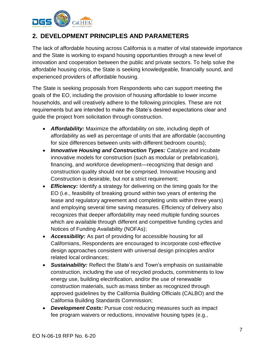

## **2. DEVELOPMENT PRINCIPLES AND PARAMETERS**

The lack of affordable housing across California is a matter of vital statewide importance and the State is working to expand housing opportunities through a new level of innovation and cooperation between the public and private sectors. To help solve the affordable housing crisis, the State is seeking knowledgeable, financially sound, and experienced providers of affordable housing.

The State is seeking proposals from Respondents who can support meeting the goals of the EO, including the provision of housing affordable to lower income households, and will creatively adhere to the following principles. These are not requirements but are intended to make the State's desired expectations clear and guide the project from solicitation through construction.

- *Affordability:* Maximize the affordability on site, including depth of affordability as well as percentage of units that are affordable (accounting for size differences between units with different bedroom counts);
- *Innovative Housing and Construction Types:* Catalyze and incubate innovative models for construction (such as modular or prefabrication), financing, and workforce development—recognizing that design and construction quality should not be comprised. Innovative Housing and Construction is desirable, but *not* a strict requirement;
- *Efficiency:* Identify a strategy for delivering on the timing goals for the EO (i.e., feasibility of breaking ground within two years of entering the lease and regulatory agreement and completing units within three years) and employing several time saving measures. Efficiency of delivery also recognizes that deeper affordability may need multiple funding sources which are available through different and competitive funding cycles and Notices of Funding Availability (NOFAs);
- *Accessibility:* As part of providing for accessible housing for all Californians, Respondents are encouraged to incorporate cost-effective design approaches consistent with universal design principles and/or related local ordinances;
- *Sustainability:* Reflect the State's and Town's emphasis on sustainable construction, including the use of recycled products, commitments to low energy use, building electrification, and/or the use of renewable construction materials, such as mass timber as recognized through approved guidelines by the California Building Officials (CALBO) and the California Building Standards Commission;
- **Development Costs:** Pursue cost reducing measures such as impact fee program waivers or reductions, innovative housing types (e.g.,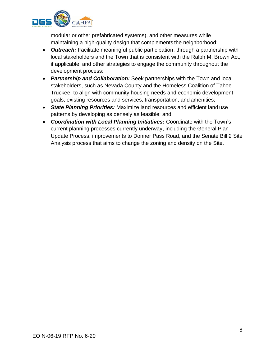

modular or other prefabricated systems), and other measures while maintaining a high-quality design that complements the neighborhood;

- *Outreach:* Facilitate meaningful public participation, through a partnership with local stakeholders and the Town that is consistent with the Ralph M. Brown Act, if applicable, and other strategies to engage the community throughout the development process;
- *Partnership and Collaboration:* Seek partnerships with the Town and local stakeholders, such as Nevada County and the Homeless Coalition of Tahoe-Truckee, to align with community housing needs and economic development goals, existing resources and services, transportation, and amenities;
- *State Planning Priorities:* Maximize land resources and efficient land use patterns by developing as densely as feasible; and
- *Coordination with Local Planning Initiatives:* Coordinate with the Town's current planning processes currently underway, including the General Plan Update Process, improvements to Donner Pass Road, and the Senate Bill 2 Site Analysis process that aims to change the zoning and density on the Site.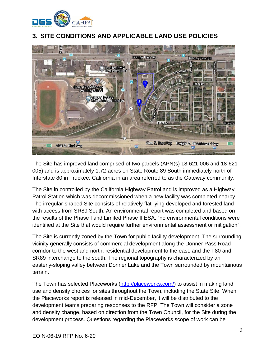

## <span id="page-8-0"></span>**3. SITE CONDITIONS AND APPLICABLE LAND USE POLICIES**



The Site has improved land comprised of two parcels (APN(s) 18-621-006 and 18-621- 005) and is approximately 1.72-acres on State Route 89 South immediately north of Interstate 80 in Truckee, California in an area referred to as the Gateway community.

The Site in controlled by the California Highway Patrol and is improved as a Highway Patrol Station which was decommissioned when a new facility was completed nearby. The irregular-shaped Site consists of relatively flat-lying developed and forested land with access from SR89 South. An environmental report was completed and based on the results of the Phase I and Limited Phase II ESA, "no environmental conditions were identified at the Site that would require further environmental assessment or mitigation".

The Site is currently zoned by the Town for public facility development. The surrounding vicinity generally consists of commercial development along the Donner Pass Road corridor to the west and north, residential development to the east, and the I-80 and SR89 interchange to the south. The regional topography is characterized by an easterly-sloping valley between Donner Lake and the Town surrounded by mountainous terrain.

The Town has selected Placeworks [\(http://placeworks.com/\)](http://placeworks.com/) to assist in making land use and density choices for sites throughout the Town, including the State Site. When the Placeworks report is released in mid-December, it will be distributed to the development teams preparing responses to the RFP. The Town will consider a zone and density change, based on direction from the Town Council, for the Site during the development process. Questions regarding the Placeworks scope of work can be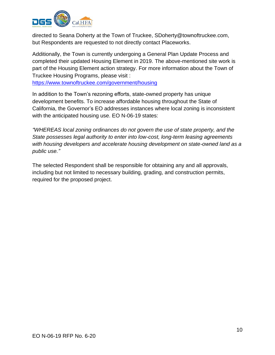

directed to Seana Doherty at the Town of Truckee, [SDoherty@townoftruckee.com,](mailto:SDoherty@townoftruckee.com) but Respondents are requested to not directly contact Placeworks.

Additionally, the Town is currently undergoing a General Plan Update Process and completed their updated Housing Element in 2019. The above-mentioned site work is part of the Housing Element action strategy. For more information about the Town of Truckee Housing Programs, please visit :

<https://www.townoftruckee.com/government/housing>

In addition to the Town's rezoning efforts, state-owned property has unique development benefits. To increase affordable housing throughout the State of California, the Governor's EO addresses instances where local zoning is inconsistent with the anticipated housing use. EO N-06-19 states:

*"WHEREAS local zoning ordinances do not govern the use of state property, and the State possesses legal authority to enter into low-cost, long-term leasing agreements with housing developers and accelerate housing development on state-owned land as a public use."*

The selected Respondent shall be responsible for obtaining any and all approvals, including but not limited to necessary building, grading, and construction permits, required for the proposed project.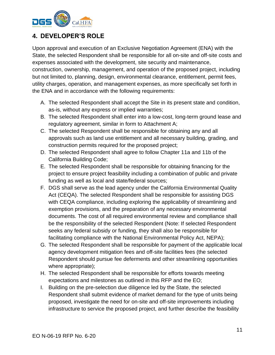

## <span id="page-10-0"></span>**4. DEVELOPER'S ROLE**

Upon approval and execution of an Exclusive Negotiation Agreement (ENA) with the State, the selected Respondent shall be responsible for all on-site and off-site costs and expenses associated with the development, site security and maintenance, construction, ownership, management, and operation of the proposed project, including but not limited to, planning, design, environmental clearance, entitlement, permit fees, utility charges, operation, and management expenses, as more specifically set forth in the ENA and in accordance with the following requirements:

- A. The selected Respondent shall accept the Site in its present state and condition, as-is, without any express or implied warranties;
- B. The selected Respondent shall enter into a low-cost, long-term ground lease and regulatory agreement, similar in form to Attachment A;
- C. The selected Respondent shall be responsible for obtaining any and all approvals such as land use entitlement and all necessary building, grading, and construction permits required for the proposed project;
- D. The selected Respondent shall agree to follow Chapter 11a and 11b of the California Building Code;
- E. The selected Respondent shall be responsible for obtaining financing for the project to ensure project feasibility including a combination of public and private funding as well as local and state/federal sources;
- F. DGS shall serve as the lead agency under the California Environmental Quality Act (CEQA). The selected Respondent shall be responsible for assisting DGS with CEQA compliance, including exploring the applicability of streamlining and exemption provisions, and the preparation of any necessary environmental documents. The cost of all required environmental review and compliance shall be the responsibility of the selected Respondent (Note: If selected Respondent seeks any federal subsidy or funding, they shall also be responsible for facilitating compliance with the National Environmental Policy Act, NEPA);
- G. The selected Respondent shall be responsible for payment of the applicable local agency development mitigation fees and off-site facilities fees (the selected Respondent should pursue fee deferments and other streamlining opportunities where appropriate);
- H. The selected Respondent shall be responsible for efforts towards meeting expectations and milestones as outlined in this RFP and the EO;
- I. Building on the pre-selection due diligence led by the State, the selected Respondent shall submit evidence of market demand for the type of units being proposed, investigate the need for on-site and off-site improvements including infrastructure to service the proposed project, and further describe the feasibility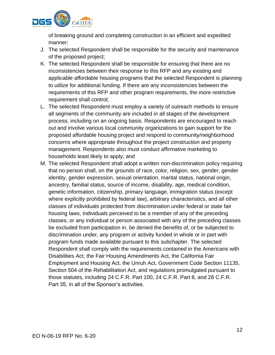

of breaking ground and completing construction in an efficient and expedited manner;

- J. The selected Respondent shall be responsible for the security and maintenance of the proposed project;
- K. The selected Respondent shall be responsible for ensuring that there are no inconsistencies between their response to this RFP and any existing and applicable affordable housing programs that the selected Respondent is planning to utilize for additional funding. If there are any inconsistencies between the requirements of this RFP and other program requirements, the more restrictive requirement shall control;
- L. The selected Respondent must employ a variety of outreach methods to ensure all segments of the community are included in all stages of the development process, including on an ongoing basis. Respondents are encouraged to reach out and involve various local community organizations to gain support for the proposed affordable housing project and respond to community/neighborhood concerns where appropriate throughout the project construction and property management. Respondents also must conduct affirmative marketing to households least likely to apply; and
- M. The selected Respondent shall adopt a written non-discrimination policy requiring that no person shall, on the grounds of race, color, religion, sex, gender, gender identity, gender expression, sexual orientation, marital status, national origin, ancestry, familial status, source of income, disability, age, medical condition, genetic information, citizenship, primary language, immigration status (except where explicitly prohibited by federal law), arbitrary characteristics, and all other classes of individuals protected from discrimination under federal or state fair housing laws, individuals perceived to be a member of any of the preceding classes, or any individual or person associated with any of the preceding classes be excluded from participation in, be denied the benefits of, or be subjected to discrimination under, any program or activity funded in whole or in part with program funds made available pursuant to this subchapter. The selected Respondent shall comply with the requirements contained in the Americans with Disabilities Act, the Fair Housing Amendments Act, the California Fair Employment and Housing Act, the Unruh Act, Government Code Section 11135, Section 504 of the Rehabilitation Act, and regulations promulgated pursuant to those statutes, including 24 C.F.R. Part 100, 24 C.F.R. Part 8, and 28 C.F.R. Part 35, in all of the Sponsor's activities.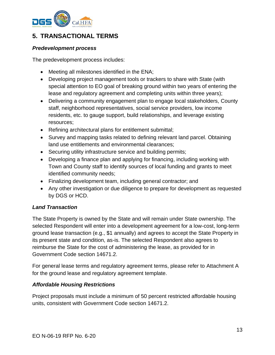

## <span id="page-12-0"></span>**5. TRANSACTIONAL TERMS**

#### *Predevelopment process*

The predevelopment process includes:

- Meeting all milestones identified in the ENA;
- Developing project management tools or trackers to share with State (with special attention to EO goal of breaking ground within two years of entering the lease and regulatory agreement and completing units within three years);
- Delivering a community engagement plan to engage local stakeholders, County staff, neighborhood representatives, social service providers, low income residents, etc. to gauge support, build relationships, and leverage existing resources;
- Refining architectural plans for entitlement submittal;
- Survey and mapping tasks related to defining relevant land parcel. Obtaining land use entitlements and environmental clearances;
- Securing utility infrastructure service and building permits;
- Developing a finance plan and applying for financing, including working with Town and County staff to identify sources of local funding and grants to meet identified community needs;
- Finalizing development team, including general contractor; and
- Any other investigation or due diligence to prepare for development as requested by DGS or HCD.

#### *Land Transaction*

The State Property is owned by the State and will remain under State ownership. The selected Respondent will enter into a development agreement for a low-cost, long-term ground lease transaction (e.g., \$1 annually) and agrees to accept the State Property in its present state and condition, as-is. The selected Respondent also agrees to reimburse the State for the cost of administering the lease, as provided for in Government Code section 14671.2.

For general lease terms and regulatory agreement terms, please refer to Attachment A for the ground lease and regulatory agreement template.

#### *Affordable Housing Restrictions*

Project proposals must include a minimum of 50 percent restricted affordable housing units, consistent with Government Code section 14671.2.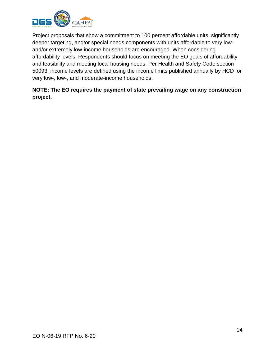

Project proposals that show a commitment to 100 percent affordable units, significantly deeper targeting, and/or special needs components with units affordable to very lowand/or extremely low-income households are encouraged. When considering affordability levels, Respondents should focus on meeting the EO goals of affordability and feasibility and meeting local housing needs. Per Health and Safety Code section 50093, income levels are defined using the income limits published annually by HCD for very low-, low-, and moderate-income households.

#### **NOTE: The EO requires the payment of state prevailing wage on any construction project.**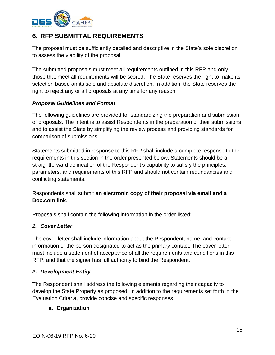

## <span id="page-14-0"></span>**6. RFP SUBMITTAL REQUIREMENTS**

The proposal must be sufficiently detailed and descriptive in the State's sole discretion to assess the viability of the proposal.

<span id="page-14-1"></span>The submitted proposals must meet all requirements outlined in this RFP and only those that meet all requirements will be scored. The State reserves the right to make its selection based on its sole and absolute discretion. In addition, the State reserves the right to reject any or all proposals at any time for any reason.

#### *Proposal Guidelines and Format*

The following guidelines are provided for standardizing the preparation and submission of proposals. The intent is to assist Respondents in the preparation of their submissions and to assist the State by simplifying the review process and providing standards for comparison of submissions.

Statements submitted in response to this RFP shall include a complete response to the requirements in this section in the order presented below. Statements should be a straightforward delineation of the Respondent's capability to satisfy the principles, parameters, and requirements of this RFP and should not contain redundancies and conflicting statements.

Respondents shall submit **an electronic copy of their proposal via email and a Box.com link**.

<span id="page-14-4"></span>Proposals shall contain the following information in the order listed:

#### <span id="page-14-2"></span>*1. Cover Letter*

The cover letter shall include information about the Respondent, name, and contact information of the person designated to act as the primary contact. The cover letter must include a statement of acceptance of all the requirements and conditions in this RFP, and that the signer has full authority to bind the Respondent.

#### <span id="page-14-3"></span>*2. Development Entity*

The Respondent shall address the following elements regarding their capacity to develop the State Property as proposed. In addition to the requirements set forth in the Evaluation Criteria, provide concise and specific responses.

#### **a. Organization**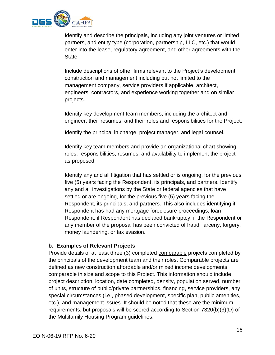

Identify and describe the principals, including any joint ventures or limited partners, and entity type (corporation, partnership, LLC, etc.) that would enter into the lease, regulatory agreement, and other agreements with the State.

Include descriptions of other firms relevant to the Project's development, construction and management including but not limited to the management company, service providers if applicable, architect, engineers, contractors, and experience working together and on similar projects.

Identify key development team members, including the architect and engineer, their resumes, and their roles and responsibilities for the Project.

Identify the principal in charge, project manager, and legal counsel.

Identify key team members and provide an organizational chart showing roles, responsibilities, resumes, and availability to implement the project as proposed.

Identify any and all litigation that has settled or is ongoing, for the previous five (5) years facing the Respondent, its principals, and partners. Identify any and all investigations by the State or federal agencies that have settled or are ongoing, for the previous five (5) years facing the Respondent, its principals, and partners. This also includes identifying if Respondent has had any mortgage foreclosure proceedings, loan Respondent, if Respondent has declared bankruptcy, if the Respondent or any member of the proposal has been convicted of fraud, larceny, forgery, money laundering, or tax evasion.

#### **b. Examples of Relevant Projects**

Provide details of at least three (3) completed comparable projects completed by the principals of the development team and their roles. Comparable projects are defined as new construction affordable and/or mixed income developments comparable in size and scope to this Project. This information should include project description, location, date completed, density, population served, number of units, structure of public/private partnerships, financing, service providers, any special circumstances (i.e., phased development, specific plan, public amenities, etc.), and management issues. It should be noted that these are the minimum requirements, but proposals will be scored according to Section 7320(b)(3)(D) of the Multifamily Housing Program guidelines: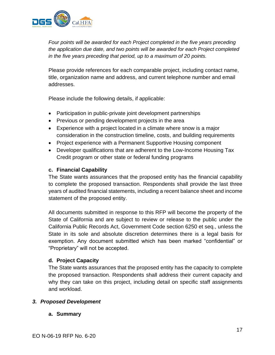

*Four points will be awarded for each Project completed in the five years preceding the application due date, and two points will be awarded for each Project completed in the five years preceding that period, up to a maximum of 20 points.*

Please provide references for each comparable project, including contact name, title, organization name and address, and current telephone number and email addresses.

Please include the following details, if applicable:

- Participation in public-private joint development partnerships
- Previous or pending development projects in the area
- Experience with a project located in a climate where snow is a major consideration in the construction timeline, costs, and building requirements
- Project experience with a Permanent Supportive Housing component
- Developer qualifications that are adherent to the Low-Income Housing Tax Credit program or other state or federal funding programs

#### **c. Financial Capability**

The State wants assurances that the proposed entity has the financial capability to complete the proposed transaction. Respondents shall provide the last three years of audited financial statements, including a recent balance sheet and income statement of the proposed entity.

All documents submitted in response to this RFP will become the property of the State of California and are subject to review or release to the public under the California Public Records Act, Government Code section 6250 et seq., unless the State in its sole and absolute discretion determines there is a legal basis for exemption. Any document submitted which has been marked "confidential" or "Proprietary" will not be accepted.

#### **d. Project Capacity**

The State wants assurances that the proposed entity has the capacity to complete the proposed transaction. Respondents shall address their current capacity and why they can take on this project, including detail on specific staff assignments and workload.

#### <span id="page-16-0"></span>*3. Proposed Development*

#### **a. Summary**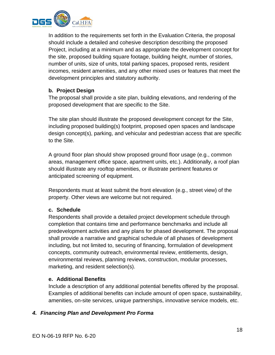

In addition to the requirements set forth in the Evaluation Criteria, the proposal should include a detailed and cohesive description describing the proposed Project, including at a minimum and as appropriate the development concept for the site, proposed building square footage, building height, number of stories, number of units, size of units, total parking spaces, proposed rents, resident incomes, resident amenities, and any other mixed uses or features that meet the development principles and statutory authority.

#### **b. Project Design**

The proposal shall provide a site plan, building elevations, and rendering of the proposed development that are specific to the Site.

The site plan should illustrate the proposed development concept for the Site, including proposed building(s) footprint, proposed open spaces and landscape design concept(s), parking, and vehicular and pedestrian access that are specific to the Site.

A ground floor plan should show proposed ground floor usage (e.g., common areas, management office space, apartment units, etc.). Additionally, a roof plan should illustrate any rooftop amenities, or illustrate pertinent features or anticipated screening of equipment.

Respondents must at least submit the front elevation (e.g., street view) of the property. Other views are welcome but not required.

#### **c. Schedule**

Respondents shall provide a detailed project development schedule through completion that contains time and performance benchmarks and include all predevelopment activities and any plans for phased development. The proposal shall provide a narrative and graphical schedule of all phases of development including, but not limited to, securing of financing, formulation of development concepts, community outreach, environmental review, entitlements, design, environmental reviews, planning reviews, construction, modular processes, marketing, and resident selection(s).

#### **e. Additional Benefits**

Include a description of any additional potential benefits offered by the proposal. Examples of additional benefits can include amount of open space, sustainability, amenities, on-site services, unique partnerships, innovative service models, etc.

#### <span id="page-17-0"></span>*4. Financing Plan and Development Pro Forma*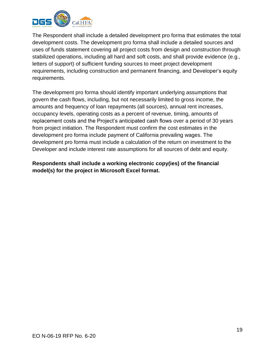

The Respondent shall include a detailed development pro forma that estimates the total development costs. The development pro forma shall include a detailed sources and uses of funds statement covering all project costs from design and construction through stabilized operations, including all hard and soft costs, and shall provide evidence (e.g., letters of support) of sufficient funding sources to meet project development requirements, including construction and permanent financing, and Developer's equity requirements.

The development pro forma should identify important underlying assumptions that govern the cash flows, including, but not necessarily limited to gross income, the amounts and frequency of loan repayments (all sources), annual rent increases, occupancy levels, operating costs as a percent of revenue, timing, amounts of replacement costs and the Project's anticipated cash flows over a period of 30 years from project initiation. The Respondent must confirm the cost estimates in the development pro forma include payment of California prevailing wages. The development pro forma must include a calculation of the return on investment to the Developer and include interest rate assumptions for all sources of debt and equity.

**Respondents shall include a working electronic copy(ies) of the financial model(s) for the project in Microsoft Excel format.**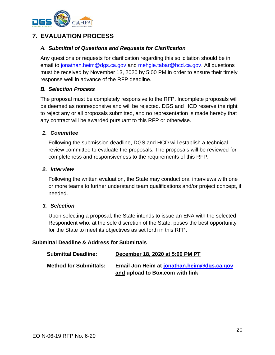

## **7. EVALUATION PROCESS**

#### *A. Submittal of Questions and Requests for Clarification*

Any questions or requests for clarification regarding this solicitation should be in email to [jonathan.heim@dgs.ca.gov](mailto:joshua.palmer@dgs.ca.gov) and [mehgie.tabar@hcd.ca.gov.](mailto:mehgie.tabar@hcd.ca.gov) All questions must be received by November 13, 2020 by 5:00 PM in order to ensure their timely response well in advance of the RFP deadline.

#### *B. Selection Process*

The proposal must be completely responsive to the RFP. Incomplete proposals will be deemed as nonresponsive and will be rejected. DGS and HCD reserve the right to reject any or all proposals submitted, and no representation is made hereby that any contract will be awarded pursuant to this RFP or otherwise.

#### *1. Committee*

Following the submission deadline, DGS and HCD will establish a technical review committee to evaluate the proposals. The proposals will be reviewed for completeness and responsiveness to the requirements of this RFP.

#### *2. Interview*

Following the written evaluation, the State may conduct oral interviews with one or more teams to further understand team qualifications and/or project concept, if needed.

#### *3. Selection*

Upon selecting a proposal, the State intends to issue an ENA with the selected Respondent who, at the sole discretion of the State, poses the best opportunity for the State to meet its objectives as set forth in this RFP.

#### **Submittal Deadline & Address for Submittals**

| <b>Submittal Deadline:</b>    | December 18, 2020 at 5:00 PM PT            |
|-------------------------------|--------------------------------------------|
| <b>Method for Submittals:</b> | Email Jon Heim at jonathan.heim@dgs.ca.gov |
|                               | and upload to Box.com with link            |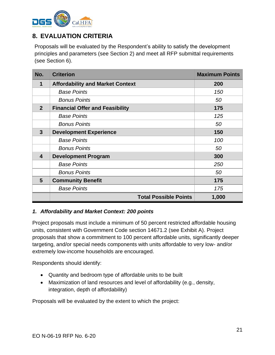

## <span id="page-20-0"></span>**8. EVALUATION CRITERIA**

Proposals will be evaluated by the Respondent's ability to satisfy the development principles and parameters (see Section 2) and meet all RFP submittal requirements (see Section 6).

| No.            | <b>Criterion</b>                        | <b>Maximum Points</b> |
|----------------|-----------------------------------------|-----------------------|
| 1              | <b>Affordability and Market Context</b> | 200                   |
|                | <b>Base Points</b>                      | 150                   |
|                | <b>Bonus Points</b>                     | 50                    |
| $\overline{2}$ | <b>Financial Offer and Feasibility</b>  | 175                   |
|                | <b>Base Points</b>                      | 125                   |
|                | <b>Bonus Points</b>                     | 50                    |
| $\mathbf{3}$   | <b>Development Experience</b>           | 150                   |
|                | <b>Base Points</b>                      | 100                   |
|                | <b>Bonus Points</b>                     | 50                    |
| 4              | <b>Development Program</b>              | 300                   |
|                | <b>Base Points</b>                      | 250                   |
|                | <b>Bonus Points</b>                     | 50                    |
| 5              | <b>Community Benefit</b>                | 175                   |
|                | <b>Base Points</b>                      | 175                   |
|                | <b>Total Possible Points</b>            | 1,000                 |

#### <span id="page-20-1"></span>*1. Affordability and Market Context: 200 points*

Project proposals must include a minimum of 50 percent restricted affordable housing units, consistent with Government Code section 14671.2 (see Exhibit A). Project proposals that show a commitment to 100 percent affordable units, significantly deeper targeting, and/or special needs components with units affordable to very low- and/or extremely low-income households are encouraged.

Respondents should identify:

- Quantity and bedroom type of affordable units to be built
- Maximization of land resources and level of affordability (e.g., density, integration, depth of affordability)

Proposals will be evaluated by the extent to which the project: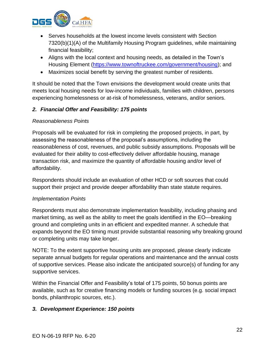

- Serves households at the lowest income levels consistent with Section 7320(b)(1)(A) of the Multifamily Housing Program guidelines, while maintaining financial feasibility;
- Aligns with the local context and housing needs, as detailed in the Town's Housing Element [\(https://www.townoftruckee.com/government/housing\)](https://www.townoftruckee.com/government/housing); and
- Maximizes social benefit by serving the greatest number of residents.

It should be noted that the Town envisions the development would create units that meets local housing needs for low-income individuals, families with children, persons experiencing homelessness or at-risk of homelessness, veterans, and/or seniors.

#### <span id="page-21-0"></span>*2. Financial Offer and Feasibility: 175 points*

#### *Reasonableness Points*

Proposals will be evaluated for risk in completing the proposed projects, in part, by assessing the reasonableness of the proposal's assumptions, including the reasonableness of cost, revenues, and public subsidy assumptions. Proposals will be evaluated for their ability to cost-effectively deliver affordable housing, manage transaction risk, and maximize the quantity of affordable housing and/or level of affordability.

Respondents should include an evaluation of other HCD or soft sources that could support their project and provide deeper affordability than state statute requires.

#### *Implementation Points*

Respondents must also demonstrate implementation feasibility, including phasing and market timing, as well as the ability to meet the goals identified in the EO—breaking ground and completing units in an efficient and expedited manner. A schedule that expands beyond the EO timing must provide substantial reasoning why breaking ground or completing units may take longer.

NOTE: To the extent supportive housing units are proposed, please clearly indicate separate annual budgets for regular operations and maintenance and the annual costs of supportive services. Please also indicate the anticipated source(s) of funding for any supportive services.

Within the Financial Offer and Feasibility's total of 175 points, 50 bonus points are available, such as for creative financing models or funding sources (e.g. social impact bonds, philanthropic sources, etc.).

#### <span id="page-21-1"></span>*3. Development Experience: 150 points*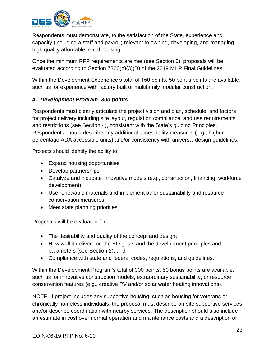

Respondents must demonstrate, to the satisfaction of the State, experience and capacity (including a staff and payroll) relevant to owning, developing, and managing high quality affordable rental housing.

Once the minimum RFP requirements are met (see Section 6), proposals will be evaluated according to Section 7320(b)(3)(D) of the 2019 MHP Final Guidelines.

Within the Development Experience's total of 150 points, 50 bonus points are available, such as for experience with factory built or multifamily modular construction.

#### <span id="page-22-0"></span>*4. Development Program: 300 points*

Respondents must clearly articulate the project vision and plan, schedule, and factors for project delivery including site layout, regulation compliance, and use requirements and restrictions (see Section 4), consistent with the State's guiding Principles. Respondents should describe any additional accessibility measures (e.g., higher percentage ADA accessible units) and/or consistency with universal design guidelines.

Projects should identify the ability to:

- Expand housing opportunities
- Develop partnerships
- Catalyze and incubate innovative models (e.g., construction, financing, workforce development)
- Use renewable materials and implement other sustainability and resource conservation measures
- Meet state planning priorities

Proposals will be evaluated for:

- The desirability and quality of the concept and design;
- How well it delivers on the EO goals and the development principles and parameters (see Section 2); and
- Compliance with state and federal codes, regulations, and guidelines.

Within the Development Program's total of 300 points, 50 bonus points are available, such as for innovative construction models, extraordinary sustainability, or resource conservation features (e.g., creative PV and/or solar water heating innovations).

NOTE: If project includes any supportive housing, such as housing for veterans or chronically homeless individuals, the proposal must describe on-site supportive services and/or describe coordination with nearby services. The description should also include an estimate in cost over normal operation and maintenance costs and a description of